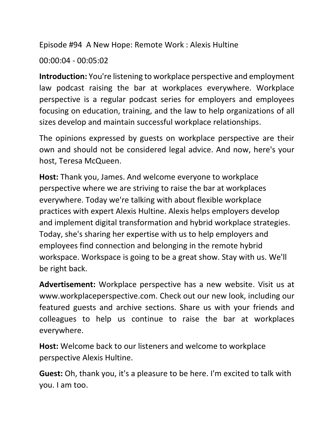Episode #94 A New Hope: Remote Work : Alexis Hultine

00:00:04 - 00:05:02

**Introduction:** You're listening to workplace perspective and employment law podcast raising the bar at workplaces everywhere. Workplace perspective is a regular podcast series for employers and employees focusing on education, training, and the law to help organizations of all sizes develop and maintain successful workplace relationships.

The opinions expressed by guests on workplace perspective are their own and should not be considered legal advice. And now, here's your host, Teresa McQueen.

**Host:** Thank you, James. And welcome everyone to workplace perspective where we are striving to raise the bar at workplaces everywhere. Today we're talking with about flexible workplace practices with expert Alexis Hultine. Alexis helps employers develop and implement digital transformation and hybrid workplace strategies. Today, she's sharing her expertise with us to help employers and employees find connection and belonging in the remote hybrid workspace. Workspace is going to be a great show. Stay with us. We'll be right back.

**Advertisement:** Workplace perspective has a new website. Visit us at www.workplaceperspective.com. Check out our new look, including our featured guests and archive sections. Share us with your friends and colleagues to help us continue to raise the bar at workplaces everywhere.

**Host:** Welcome back to our listeners and welcome to workplace perspective Alexis Hultine.

**Guest:** Oh, thank you, it's a pleasure to be here. I'm excited to talk with you. I am too.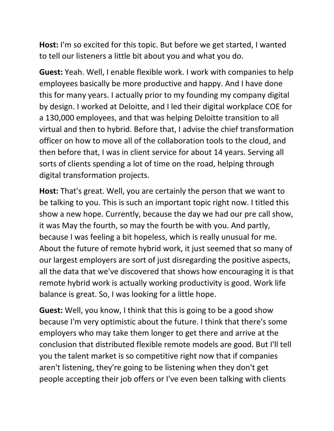**Host:** I'm so excited for this topic. But before we get started, I wanted to tell our listeners a little bit about you and what you do.

**Guest:** Yeah. Well, I enable flexible work. I work with companies to help employees basically be more productive and happy. And I have done this for many years. I actually prior to my founding my company digital by design. I worked at Deloitte, and I led their digital workplace COE for a 130,000 employees, and that was helping Deloitte transition to all virtual and then to hybrid. Before that, I advise the chief transformation officer on how to move all of the collaboration tools to the cloud, and then before that, I was in client service for about 14 years. Serving all sorts of clients spending a lot of time on the road, helping through digital transformation projects.

**Host:** That's great. Well, you are certainly the person that we want to be talking to you. This is such an important topic right now. I titled this show a new hope. Currently, because the day we had our pre call show, it was May the fourth, so may the fourth be with you. And partly, because I was feeling a bit hopeless, which is really unusual for me. About the future of remote hybrid work, it just seemed that so many of our largest employers are sort of just disregarding the positive aspects, all the data that we've discovered that shows how encouraging it is that remote hybrid work is actually working productivity is good. Work life balance is great. So, I was looking for a little hope.

**Guest:** Well, you know, I think that this is going to be a good show because I'm very optimistic about the future. I think that there's some employers who may take them longer to get there and arrive at the conclusion that distributed flexible remote models are good. But I'll tell you the talent market is so competitive right now that if companies aren't listening, they're going to be listening when they don't get people accepting their job offers or I've even been talking with clients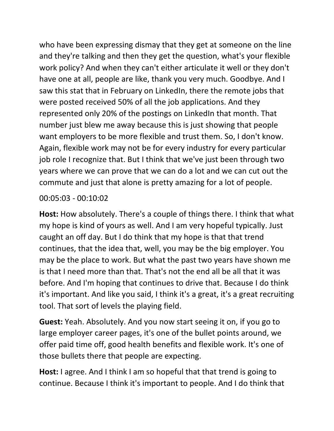who have been expressing dismay that they get at someone on the line and they're talking and then they get the question, what's your flexible work policy? And when they can't either articulate it well or they don't have one at all, people are like, thank you very much. Goodbye. And I saw this stat that in February on LinkedIn, there the remote jobs that were posted received 50% of all the job applications. And they represented only 20% of the postings on LinkedIn that month. That number just blew me away because this is just showing that people want employers to be more flexible and trust them. So, I don't know. Again, flexible work may not be for every industry for every particular job role I recognize that. But I think that we've just been through two years where we can prove that we can do a lot and we can cut out the commute and just that alone is pretty amazing for a lot of people.

## 00:05:03 - 00:10:02

**Host:** How absolutely. There's a couple of things there. I think that what my hope is kind of yours as well. And I am very hopeful typically. Just caught an off day. But I do think that my hope is that that trend continues, that the idea that, well, you may be the big employer. You may be the place to work. But what the past two years have shown me is that I need more than that. That's not the end all be all that it was before. And I'm hoping that continues to drive that. Because I do think it's important. And like you said, I think it's a great, it's a great recruiting tool. That sort of levels the playing field.

**Guest:** Yeah. Absolutely. And you now start seeing it on, if you go to large employer career pages, it's one of the bullet points around, we offer paid time off, good health benefits and flexible work. It's one of those bullets there that people are expecting.

**Host:** I agree. And I think I am so hopeful that that trend is going to continue. Because I think it's important to people. And I do think that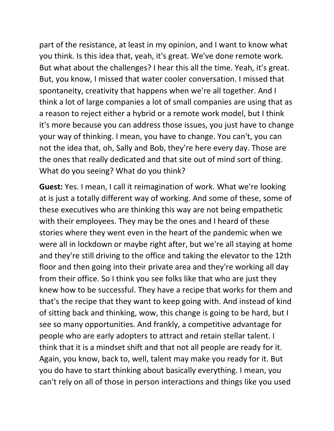part of the resistance, at least in my opinion, and I want to know what you think. Is this idea that, yeah, it's great. We've done remote work. But what about the challenges? I hear this all the time. Yeah, it's great. But, you know, I missed that water cooler conversation. I missed that spontaneity, creativity that happens when we're all together. And I think a lot of large companies a lot of small companies are using that as a reason to reject either a hybrid or a remote work model, but I think it's more because you can address those issues, you just have to change your way of thinking. I mean, you have to change. You can't, you can not the idea that, oh, Sally and Bob, they're here every day. Those are the ones that really dedicated and that site out of mind sort of thing. What do you seeing? What do you think?

**Guest:** Yes. I mean, I call it reimagination of work. What we're looking at is just a totally different way of working. And some of these, some of these executives who are thinking this way are not being empathetic with their employees. They may be the ones and I heard of these stories where they went even in the heart of the pandemic when we were all in lockdown or maybe right after, but we're all staying at home and they're still driving to the office and taking the elevator to the 12th floor and then going into their private area and they're working all day from their office. So I think you see folks like that who are just they knew how to be successful. They have a recipe that works for them and that's the recipe that they want to keep going with. And instead of kind of sitting back and thinking, wow, this change is going to be hard, but I see so many opportunities. And frankly, a competitive advantage for people who are early adopters to attract and retain stellar talent. I think that it is a mindset shift and that not all people are ready for it. Again, you know, back to, well, talent may make you ready for it. But you do have to start thinking about basically everything. I mean, you can't rely on all of those in person interactions and things like you used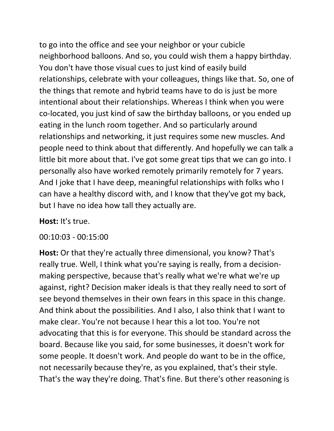to go into the office and see your neighbor or your cubicle neighborhood balloons. And so, you could wish them a happy birthday. You don't have those visual cues to just kind of easily build relationships, celebrate with your colleagues, things like that. So, one of the things that remote and hybrid teams have to do is just be more intentional about their relationships. Whereas I think when you were co-located, you just kind of saw the birthday balloons, or you ended up eating in the lunch room together. And so particularly around relationships and networking, it just requires some new muscles. And people need to think about that differently. And hopefully we can talk a little bit more about that. I've got some great tips that we can go into. I personally also have worked remotely primarily remotely for 7 years. And I joke that I have deep, meaningful relationships with folks who I can have a healthy discord with, and I know that they've got my back, but I have no idea how tall they actually are.

## **Host:** It's true.

00:10:03 - 00:15:00

**Host:** Or that they're actually three dimensional, you know? That's really true. Well, I think what you're saying is really, from a decisionmaking perspective, because that's really what we're what we're up against, right? Decision maker ideals is that they really need to sort of see beyond themselves in their own fears in this space in this change. And think about the possibilities. And I also, I also think that I want to make clear. You're not because I hear this a lot too. You're not advocating that this is for everyone. This should be standard across the board. Because like you said, for some businesses, it doesn't work for some people. It doesn't work. And people do want to be in the office, not necessarily because they're, as you explained, that's their style. That's the way they're doing. That's fine. But there's other reasoning is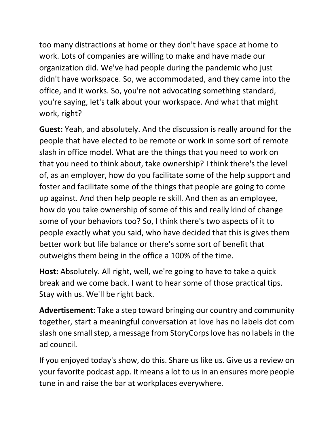too many distractions at home or they don't have space at home to work. Lots of companies are willing to make and have made our organization did. We've had people during the pandemic who just didn't have workspace. So, we accommodated, and they came into the office, and it works. So, you're not advocating something standard, you're saying, let's talk about your workspace. And what that might work, right?

**Guest:** Yeah, and absolutely. And the discussion is really around for the people that have elected to be remote or work in some sort of remote slash in office model. What are the things that you need to work on that you need to think about, take ownership? I think there's the level of, as an employer, how do you facilitate some of the help support and foster and facilitate some of the things that people are going to come up against. And then help people re skill. And then as an employee, how do you take ownership of some of this and really kind of change some of your behaviors too? So, I think there's two aspects of it to people exactly what you said, who have decided that this is gives them better work but life balance or there's some sort of benefit that outweighs them being in the office a 100% of the time.

**Host:** Absolutely. All right, well, we're going to have to take a quick break and we come back. I want to hear some of those practical tips. Stay with us. We'll be right back.

**Advertisement:** Take a step toward bringing our country and community together, start a meaningful conversation at love has no labels dot com slash one small step, a message from StoryCorps love has no labels in the ad council.

If you enjoyed today's show, do this. Share us like us. Give us a review on your favorite podcast app. It means a lot to us in an ensures more people tune in and raise the bar at workplaces everywhere.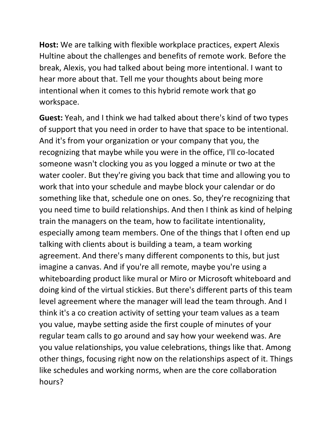**Host:** We are talking with flexible workplace practices, expert Alexis Hultine about the challenges and benefits of remote work. Before the break, Alexis, you had talked about being more intentional. I want to hear more about that. Tell me your thoughts about being more intentional when it comes to this hybrid remote work that go workspace.

**Guest:** Yeah, and I think we had talked about there's kind of two types of support that you need in order to have that space to be intentional. And it's from your organization or your company that you, the recognizing that maybe while you were in the office, I'll co-located someone wasn't clocking you as you logged a minute or two at the water cooler. But they're giving you back that time and allowing you to work that into your schedule and maybe block your calendar or do something like that, schedule one on ones. So, they're recognizing that you need time to build relationships. And then I think as kind of helping train the managers on the team, how to facilitate intentionality, especially among team members. One of the things that I often end up talking with clients about is building a team, a team working agreement. And there's many different components to this, but just imagine a canvas. And if you're all remote, maybe you're using a whiteboarding product like mural or Miro or Microsoft whiteboard and doing kind of the virtual stickies. But there's different parts of this team level agreement where the manager will lead the team through. And I think it's a co creation activity of setting your team values as a team you value, maybe setting aside the first couple of minutes of your regular team calls to go around and say how your weekend was. Are you value relationships, you value celebrations, things like that. Among other things, focusing right now on the relationships aspect of it. Things like schedules and working norms, when are the core collaboration hours?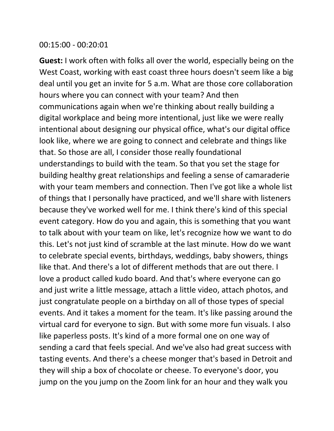## 00:15:00 - 00:20:01

**Guest:** I work often with folks all over the world, especially being on the West Coast, working with east coast three hours doesn't seem like a big deal until you get an invite for 5 a.m. What are those core collaboration hours where you can connect with your team? And then communications again when we're thinking about really building a digital workplace and being more intentional, just like we were really intentional about designing our physical office, what's our digital office look like, where we are going to connect and celebrate and things like that. So those are all, I consider those really foundational understandings to build with the team. So that you set the stage for building healthy great relationships and feeling a sense of camaraderie with your team members and connection. Then I've got like a whole list of things that I personally have practiced, and we'll share with listeners because they've worked well for me. I think there's kind of this special event category. How do you and again, this is something that you want to talk about with your team on like, let's recognize how we want to do this. Let's not just kind of scramble at the last minute. How do we want to celebrate special events, birthdays, weddings, baby showers, things like that. And there's a lot of different methods that are out there. I love a product called kudo board. And that's where everyone can go and just write a little message, attach a little video, attach photos, and just congratulate people on a birthday on all of those types of special events. And it takes a moment for the team. It's like passing around the virtual card for everyone to sign. But with some more fun visuals. I also like paperless posts. It's kind of a more formal one on one way of sending a card that feels special. And we've also had great success with tasting events. And there's a cheese monger that's based in Detroit and they will ship a box of chocolate or cheese. To everyone's door, you jump on the you jump on the Zoom link for an hour and they walk you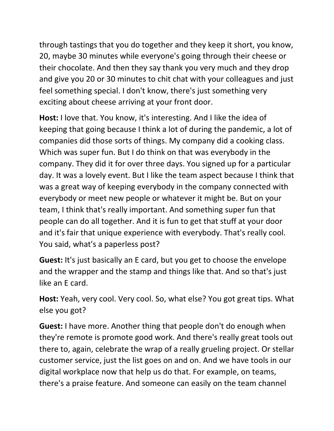through tastings that you do together and they keep it short, you know, 20, maybe 30 minutes while everyone's going through their cheese or their chocolate. And then they say thank you very much and they drop and give you 20 or 30 minutes to chit chat with your colleagues and just feel something special. I don't know, there's just something very exciting about cheese arriving at your front door.

**Host:** I love that. You know, it's interesting. And I like the idea of keeping that going because I think a lot of during the pandemic, a lot of companies did those sorts of things. My company did a cooking class. Which was super fun. But I do think on that was everybody in the company. They did it for over three days. You signed up for a particular day. It was a lovely event. But I like the team aspect because I think that was a great way of keeping everybody in the company connected with everybody or meet new people or whatever it might be. But on your team, I think that's really important. And something super fun that people can do all together. And it is fun to get that stuff at your door and it's fair that unique experience with everybody. That's really cool. You said, what's a paperless post?

**Guest:** It's just basically an E card, but you get to choose the envelope and the wrapper and the stamp and things like that. And so that's just like an E card.

**Host:** Yeah, very cool. Very cool. So, what else? You got great tips. What else you got?

**Guest:** I have more. Another thing that people don't do enough when they're remote is promote good work. And there's really great tools out there to, again, celebrate the wrap of a really grueling project. Or stellar customer service, just the list goes on and on. And we have tools in our digital workplace now that help us do that. For example, on teams, there's a praise feature. And someone can easily on the team channel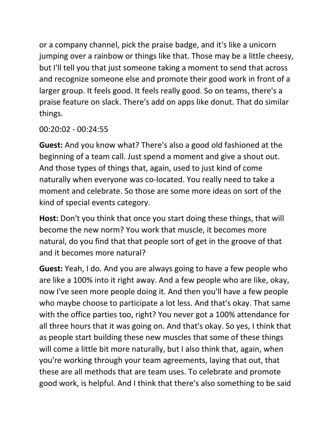or a company channel, pick the praise badge, and it's like a unicorn jumping over a rainbow or things like that. Those may be a little cheesy, but I'll tell you that just someone taking a moment to send that across and recognize someone else and promote their good work in front of a larger group. It feels good. It feels really good. So on teams, there's a praise feature on slack. There's add on apps like donut. That do similar things.

## 00:20:02 - 00:24:55

**Guest:** And you know what? There's also a good old fashioned at the beginning of a team call. Just spend a moment and give a shout out. And those types of things that, again, used to just kind of come naturally when everyone was co-located. You really need to take a moment and celebrate. So those are some more ideas on sort of the kind of special events category.

**Host:** Don't you think that once you start doing these things, that will become the new norm? You work that muscle, it becomes more natural, do you find that that people sort of get in the groove of that and it becomes more natural?

**Guest:** Yeah, I do. And you are always going to have a few people who are like a 100% into it right away. And a few people who are like, okay, now I've seen more people doing it. And then you'll have a few people who maybe choose to participate a lot less. And that's okay. That same with the office parties too, right? You never got a 100% attendance for all three hours that it was going on. And that's okay. So yes, I think that as people start building these new muscles that some of these things will come a little bit more naturally, but I also think that, again, when you're working through your team agreements, laying that out, that these are all methods that are team uses. To celebrate and promote good work, is helpful. And I think that there's also something to be said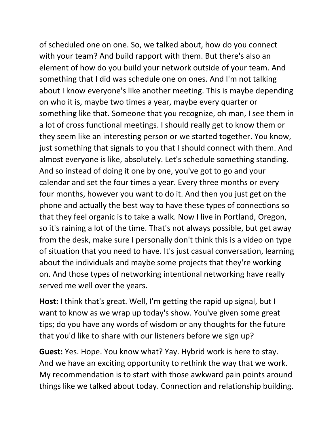of scheduled one on one. So, we talked about, how do you connect with your team? And build rapport with them. But there's also an element of how do you build your network outside of your team. And something that I did was schedule one on ones. And I'm not talking about I know everyone's like another meeting. This is maybe depending on who it is, maybe two times a year, maybe every quarter or something like that. Someone that you recognize, oh man, I see them in a lot of cross functional meetings. I should really get to know them or they seem like an interesting person or we started together. You know, just something that signals to you that I should connect with them. And almost everyone is like, absolutely. Let's schedule something standing. And so instead of doing it one by one, you've got to go and your calendar and set the four times a year. Every three months or every four months, however you want to do it. And then you just get on the phone and actually the best way to have these types of connections so that they feel organic is to take a walk. Now I live in Portland, Oregon, so it's raining a lot of the time. That's not always possible, but get away from the desk, make sure I personally don't think this is a video on type of situation that you need to have. It's just casual conversation, learning about the individuals and maybe some projects that they're working on. And those types of networking intentional networking have really served me well over the years.

**Host:** I think that's great. Well, I'm getting the rapid up signal, but I want to know as we wrap up today's show. You've given some great tips; do you have any words of wisdom or any thoughts for the future that you'd like to share with our listeners before we sign up?

**Guest:** Yes. Hope. You know what? Yay. Hybrid work is here to stay. And we have an exciting opportunity to rethink the way that we work. My recommendation is to start with those awkward pain points around things like we talked about today. Connection and relationship building.